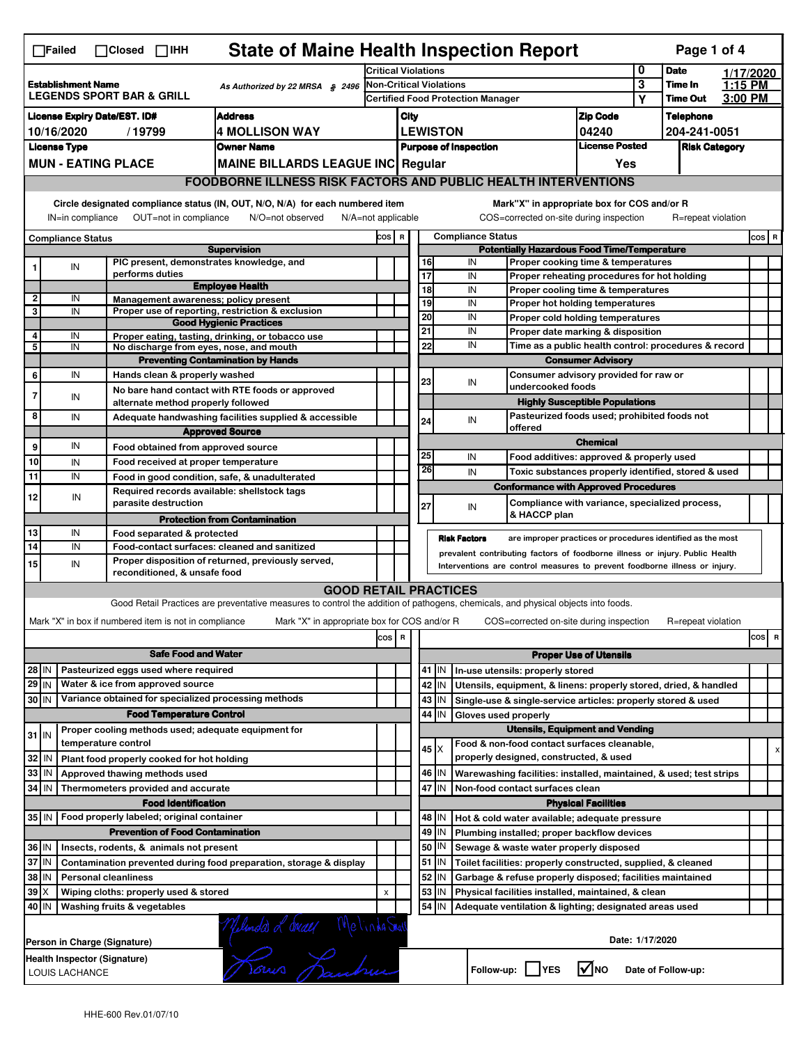| <b>State of Maine Health Inspection Report</b><br>Page 1 of 4<br>$\Box$ Failed<br>$\Box$ Closed $\Box$ IHH |                                                                                                                                                                       |                                                                     |                                                                                                                                   |                            |                                           |                          |                 |                                        |                                                                                                              |                               |                    |                      |           |          |  |  |
|------------------------------------------------------------------------------------------------------------|-----------------------------------------------------------------------------------------------------------------------------------------------------------------------|---------------------------------------------------------------------|-----------------------------------------------------------------------------------------------------------------------------------|----------------------------|-------------------------------------------|--------------------------|-----------------|----------------------------------------|--------------------------------------------------------------------------------------------------------------|-------------------------------|--------------------|----------------------|-----------|----------|--|--|
|                                                                                                            |                                                                                                                                                                       |                                                                     |                                                                                                                                   | <b>Critical Violations</b> |                                           |                          |                 |                                        |                                                                                                              | 0                             | <b>Date</b>        |                      | 1/17/2020 |          |  |  |
| <b>Establishment Name</b><br>As Authorized by 22 MRSA § 2496<br><b>LEGENDS SPORT BAR &amp; GRILL</b>       |                                                                                                                                                                       |                                                                     | <b>Non-Critical Violations</b>                                                                                                    |                            |                                           |                          |                 |                                        | 3<br>Υ                                                                                                       | Time In<br><b>Time Out</b>    | 1:15 PM<br>3:00 PM |                      |           |          |  |  |
| <b>Address</b>                                                                                             |                                                                                                                                                                       |                                                                     |                                                                                                                                   |                            | Certified Food Protection Manager<br>City |                          |                 |                                        |                                                                                                              |                               |                    | <b>Telephone</b>     |           |          |  |  |
| <b>License Expiry Date/EST. ID#</b><br><b>4 MOLLISON WAY</b><br>10/16/2020<br>/19799                       |                                                                                                                                                                       |                                                                     |                                                                                                                                   |                            |                                           |                          | <b>LEWISTON</b> |                                        |                                                                                                              | <b>Zip Code</b><br>04240      |                    | 204-241-0051         |           |          |  |  |
| <b>License Type</b><br><b>Owner Name</b>                                                                   |                                                                                                                                                                       |                                                                     |                                                                                                                                   |                            |                                           |                          |                 | <b>Purpose of Inspection</b>           |                                                                                                              | <b>License Posted</b>         |                    | <b>Risk Category</b> |           |          |  |  |
|                                                                                                            |                                                                                                                                                                       | <b>MUN - EATING PLACE</b>                                           | <b>MAINE BILLARDS LEAGUE INC Regular</b>                                                                                          |                            |                                           |                          |                 |                                        |                                                                                                              | Yes                           |                    |                      |           |          |  |  |
|                                                                                                            |                                                                                                                                                                       |                                                                     | <b>FOODBORNE ILLNESS RISK FACTORS AND PUBLIC HEALTH INTERVENTIONS</b>                                                             |                            |                                           |                          |                 |                                        |                                                                                                              |                               |                    |                      |           |          |  |  |
|                                                                                                            | Circle designated compliance status (IN, OUT, N/O, N/A) for each numbered item<br>OUT=not in compliance<br>IN=in compliance<br>N/O=not observed<br>N/A=not applicable |                                                                     |                                                                                                                                   |                            |                                           |                          |                 |                                        | Mark"X" in appropriate box for COS and/or R<br>COS=corrected on-site during inspection                       |                               |                    | R=repeat violation   |           |          |  |  |
|                                                                                                            | <b>Compliance Status</b>                                                                                                                                              |                                                                     |                                                                                                                                   | COS R                      |                                           | <b>Compliance Status</b> |                 |                                        |                                                                                                              |                               |                    |                      |           | COS R    |  |  |
|                                                                                                            |                                                                                                                                                                       |                                                                     | <b>Supervision</b>                                                                                                                |                            |                                           |                          |                 |                                        | <b>Potentially Hazardous Food Time/Temperature</b>                                                           |                               |                    |                      |           |          |  |  |
| 1                                                                                                          | IN                                                                                                                                                                    | PIC present, demonstrates knowledge, and<br>performs duties         |                                                                                                                                   |                            |                                           | 16<br>17                 |                 | IN<br>IN                               | Proper cooking time & temperatures                                                                           |                               |                    |                      |           |          |  |  |
|                                                                                                            |                                                                                                                                                                       |                                                                     | <b>Employee Health</b>                                                                                                            |                            |                                           | 18                       |                 | IN                                     | Proper reheating procedures for hot holding<br>Proper cooling time & temperatures                            |                               |                    |                      |           |          |  |  |
| $\overline{2}$                                                                                             | IN                                                                                                                                                                    | Management awareness: policy present                                |                                                                                                                                   |                            |                                           | 19                       |                 | IN                                     | Proper hot holding temperatures                                                                              |                               |                    |                      |           |          |  |  |
| 3                                                                                                          | IN                                                                                                                                                                    |                                                                     | Proper use of reporting, restriction & exclusion<br><b>Good Hygienic Practices</b>                                                |                            |                                           | 20                       |                 | IN                                     | Proper cold holding temperatures                                                                             |                               |                    |                      |           |          |  |  |
| 4                                                                                                          | IN                                                                                                                                                                    |                                                                     | Proper eating, tasting, drinking, or tobacco use                                                                                  |                            |                                           | 21                       |                 | IN                                     | Proper date marking & disposition                                                                            |                               |                    |                      |           |          |  |  |
| 5                                                                                                          | IN                                                                                                                                                                    | No discharge from eyes, nose, and mouth                             |                                                                                                                                   |                            |                                           | 22                       |                 | IN                                     | Time as a public health control: procedures & record                                                         |                               |                    |                      |           |          |  |  |
|                                                                                                            |                                                                                                                                                                       |                                                                     | <b>Preventing Contamination by Hands</b>                                                                                          |                            |                                           |                          |                 |                                        |                                                                                                              | <b>Consumer Advisory</b>      |                    |                      |           |          |  |  |
| 6                                                                                                          | IN                                                                                                                                                                    | Hands clean & properly washed                                       | No bare hand contact with RTE foods or approved                                                                                   |                            |                                           | 23                       |                 | IN                                     | Consumer advisory provided for raw or<br>undercooked foods                                                   |                               |                    |                      |           |          |  |  |
| $\overline{7}$                                                                                             | IN                                                                                                                                                                    | alternate method properly followed                                  |                                                                                                                                   |                            |                                           |                          |                 |                                        | <b>Highly Susceptible Populations</b>                                                                        |                               |                    |                      |           |          |  |  |
| 8                                                                                                          | IN                                                                                                                                                                    |                                                                     | Adequate handwashing facilities supplied & accessible                                                                             |                            |                                           | 24                       |                 | IN                                     | Pasteurized foods used; prohibited foods not                                                                 |                               |                    |                      |           |          |  |  |
|                                                                                                            |                                                                                                                                                                       |                                                                     | <b>Approved Source</b>                                                                                                            |                            |                                           |                          |                 |                                        | offered                                                                                                      |                               |                    |                      |           |          |  |  |
| 9                                                                                                          | IN                                                                                                                                                                    | Food obtained from approved source                                  |                                                                                                                                   |                            |                                           | 25                       |                 |                                        |                                                                                                              | <b>Chemical</b>               |                    |                      |           |          |  |  |
| 10                                                                                                         | IN                                                                                                                                                                    | Food received at proper temperature                                 |                                                                                                                                   |                            |                                           | 26                       |                 | IN                                     | Food additives: approved & properly used                                                                     |                               |                    |                      |           |          |  |  |
| 11                                                                                                         | IN                                                                                                                                                                    |                                                                     | Food in good condition, safe, & unadulterated                                                                                     |                            |                                           |                          |                 | IN                                     | Toxic substances properly identified, stored & used<br><b>Conformance with Approved Procedures</b>           |                               |                    |                      |           |          |  |  |
| 12                                                                                                         | IN                                                                                                                                                                    | Required records available: shellstock tags<br>parasite destruction |                                                                                                                                   |                            |                                           | 27                       |                 | IN                                     | Compliance with variance, specialized process,                                                               |                               |                    |                      |           |          |  |  |
|                                                                                                            |                                                                                                                                                                       |                                                                     | <b>Protection from Contamination</b>                                                                                              |                            |                                           |                          |                 |                                        | & HACCP plan                                                                                                 |                               |                    |                      |           |          |  |  |
| 13<br>14                                                                                                   | IN<br>IN                                                                                                                                                              | Food separated & protected                                          |                                                                                                                                   |                            |                                           |                          |                 | <b>Risk Factors</b>                    | are improper practices or procedures identified as the most                                                  |                               |                    |                      |           |          |  |  |
|                                                                                                            |                                                                                                                                                                       |                                                                     | Food-contact surfaces: cleaned and sanitized<br>Proper disposition of returned, previously served,                                |                            |                                           |                          |                 |                                        | prevalent contributing factors of foodborne illness or injury. Public Health                                 |                               |                    |                      |           |          |  |  |
| 15                                                                                                         | IN                                                                                                                                                                    | reconditioned, & unsafe food                                        |                                                                                                                                   |                            |                                           |                          |                 |                                        | Interventions are control measures to prevent foodborne illness or injury.                                   |                               |                    |                      |           |          |  |  |
|                                                                                                            |                                                                                                                                                                       |                                                                     | <b>GOOD RETAIL PRACTICES</b>                                                                                                      |                            |                                           |                          |                 |                                        |                                                                                                              |                               |                    |                      |           |          |  |  |
|                                                                                                            |                                                                                                                                                                       |                                                                     | Good Retail Practices are preventative measures to control the addition of pathogens, chemicals, and physical objects into foods. |                            |                                           |                          |                 |                                        |                                                                                                              |                               |                    |                      |           |          |  |  |
|                                                                                                            |                                                                                                                                                                       | Mark "X" in box if numbered item is not in compliance               | Mark "X" in appropriate box for COS and/or R                                                                                      |                            |                                           |                          |                 |                                        | COS=corrected on-site during inspection                                                                      |                               |                    | R=repeat violation   |           |          |  |  |
|                                                                                                            |                                                                                                                                                                       |                                                                     |                                                                                                                                   | cos                        | $\overline{\mathbf{R}}$                   |                          |                 |                                        |                                                                                                              |                               |                    |                      |           | cos<br>R |  |  |
|                                                                                                            |                                                                                                                                                                       | <b>Safe Food and Water</b>                                          |                                                                                                                                   |                            |                                           |                          |                 |                                        |                                                                                                              | <b>Proper Use of Utensils</b> |                    |                      |           |          |  |  |
| 28 IN                                                                                                      |                                                                                                                                                                       | Pasteurized eggs used where required                                |                                                                                                                                   |                            |                                           |                          | 41 J IN         |                                        | In-use utensils: properly stored                                                                             |                               |                    |                      |           |          |  |  |
| $29$ IN                                                                                                    |                                                                                                                                                                       | Water & ice from approved source                                    |                                                                                                                                   |                            |                                           |                          | 42 IN           |                                        | Utensils, equipment, & linens: properly stored, dried, & handled                                             |                               |                    |                      |           |          |  |  |
| 30 IN                                                                                                      |                                                                                                                                                                       | Variance obtained for specialized processing methods                |                                                                                                                                   |                            |                                           |                          | $43$   IN       |                                        | Single-use & single-service articles: properly stored & used                                                 |                               |                    |                      |           |          |  |  |
|                                                                                                            |                                                                                                                                                                       | <b>Food Temperature Control</b>                                     |                                                                                                                                   |                            |                                           | 44                       | IN              | Gloves used properly                   |                                                                                                              |                               |                    |                      |           |          |  |  |
| Proper cooling methods used; adequate equipment for<br>$31$ IN                                             |                                                                                                                                                                       |                                                                     |                                                                                                                                   |                            |                                           |                          |                 | <b>Utensils, Equipment and Vending</b> |                                                                                                              |                               |                    |                      |           |          |  |  |
| temperature control                                                                                        |                                                                                                                                                                       |                                                                     |                                                                                                                                   |                            |                                           |                          | $45 \times$     |                                        | Food & non-food contact surfaces cleanable,                                                                  |                               |                    |                      |           |          |  |  |
|                                                                                                            |                                                                                                                                                                       |                                                                     |                                                                                                                                   |                            |                                           |                          |                 |                                        | properly designed, constructed, & used<br>Warewashing facilities: installed, maintained, & used; test strips |                               |                    |                      |           |          |  |  |
| 32                                                                                                         | IN                                                                                                                                                                    | Plant food properly cooked for hot holding                          |                                                                                                                                   |                            |                                           |                          |                 |                                        |                                                                                                              |                               |                    |                      |           |          |  |  |
| 33                                                                                                         | IN                                                                                                                                                                    | Approved thawing methods used                                       |                                                                                                                                   |                            |                                           |                          | 46 IN           |                                        |                                                                                                              |                               |                    |                      |           |          |  |  |
| 34                                                                                                         | l IN                                                                                                                                                                  | Thermometers provided and accurate<br><b>Food Identification</b>    |                                                                                                                                   |                            |                                           |                          | 47 I IN         |                                        | Non-food contact surfaces clean                                                                              |                               |                    |                      |           |          |  |  |
|                                                                                                            |                                                                                                                                                                       | 35 IN   Food properly labeled; original container                   |                                                                                                                                   |                            |                                           |                          | 48   IN         |                                        | Hot & cold water available; adequate pressure                                                                | <b>Physical Facilities</b>    |                    |                      |           |          |  |  |
|                                                                                                            |                                                                                                                                                                       | <b>Prevention of Food Contamination</b>                             |                                                                                                                                   |                            |                                           | 49                       | IN              |                                        | Plumbing installed; proper backflow devices                                                                  |                               |                    |                      |           |          |  |  |
| 36 IN                                                                                                      |                                                                                                                                                                       | Insects, rodents, & animals not present                             |                                                                                                                                   |                            |                                           | 50                       | IN              |                                        | Sewage & waste water properly disposed                                                                       |                               |                    |                      |           |          |  |  |
| 37 IN                                                                                                      |                                                                                                                                                                       |                                                                     | Contamination prevented during food preparation, storage & display                                                                |                            |                                           |                          | $51$ $\vert$ IN |                                        | Toilet facilities: properly constructed, supplied, & cleaned                                                 |                               |                    |                      |           |          |  |  |
| 38                                                                                                         | ΙM                                                                                                                                                                    | <b>Personal cleanliness</b>                                         |                                                                                                                                   |                            |                                           | 52                       | IN              |                                        | Garbage & refuse properly disposed; facilities maintained                                                    |                               |                    |                      |           |          |  |  |
| 39                                                                                                         | ΙX                                                                                                                                                                    | Wiping cloths: properly used & stored                               |                                                                                                                                   | X                          |                                           | 53                       | IN              |                                        | Physical facilities installed, maintained, & clean                                                           |                               |                    |                      |           |          |  |  |
| 40 IN                                                                                                      |                                                                                                                                                                       | Washing fruits & vegetables                                         |                                                                                                                                   |                            |                                           |                          | $54$ IN         |                                        | Adequate ventilation & lighting; designated areas used                                                       |                               |                    |                      |           |          |  |  |
|                                                                                                            | Person in Charge (Signature)                                                                                                                                          |                                                                     | Munda d dway Melinda Grall                                                                                                        |                            |                                           |                          |                 |                                        |                                                                                                              | Date: 1/17/2020               |                    |                      |           |          |  |  |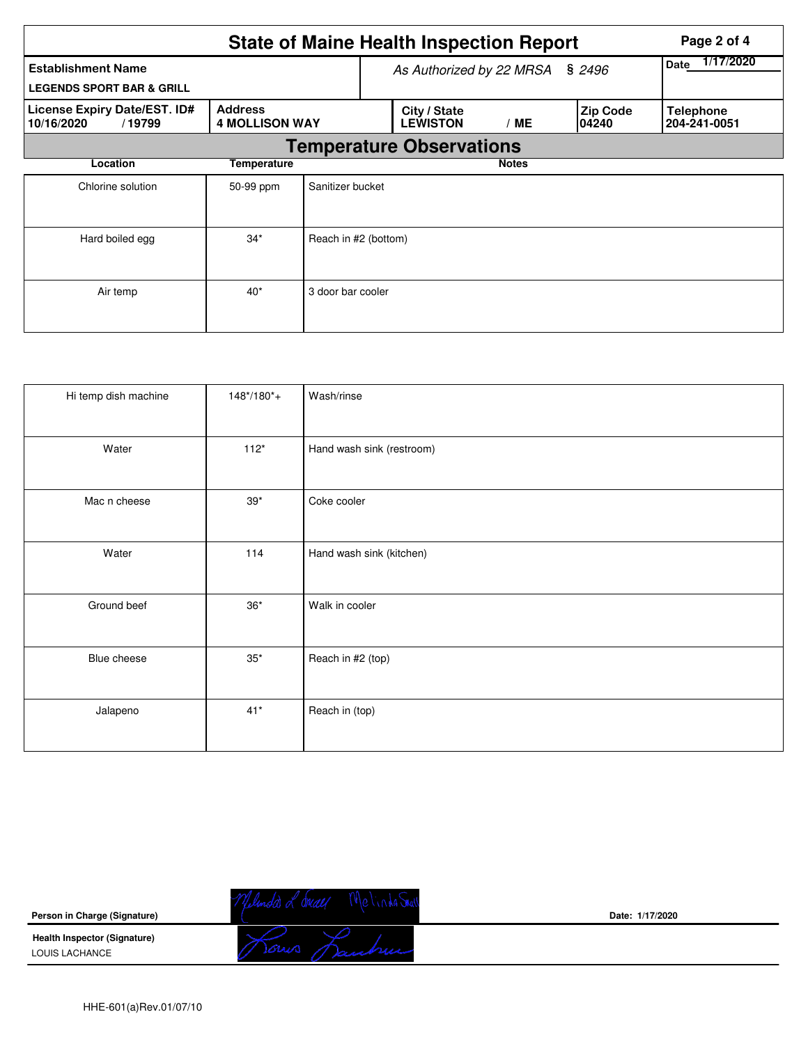| <b>State of Maine Health Inspection Report</b><br>Page 2 of 4     |                                         |                      |                                 |                   |                           |                                  |  |  |  |
|-------------------------------------------------------------------|-----------------------------------------|----------------------|---------------------------------|-------------------|---------------------------|----------------------------------|--|--|--|
| <b>Establishment Name</b><br><b>LEGENDS SPORT BAR &amp; GRILL</b> |                                         |                      | As Authorized by 22 MRSA        | 1/17/2020<br>Date |                           |                                  |  |  |  |
| License Expiry Date/EST. ID#<br>10/16/2020<br>/19799              | <b>Address</b><br><b>4 MOLLISON WAY</b> |                      | City / State<br><b>LEWISTON</b> | /ME               | <b>Zip Code</b><br>104240 | <b>Telephone</b><br>204-241-0051 |  |  |  |
|                                                                   | <b>Temperature Observations</b>         |                      |                                 |                   |                           |                                  |  |  |  |
| Location                                                          | Temperature                             |                      |                                 | <b>Notes</b>      |                           |                                  |  |  |  |
| Chlorine solution                                                 | 50-99 ppm                               | Sanitizer bucket     |                                 |                   |                           |                                  |  |  |  |
| Hard boiled egg                                                   | $34*$                                   | Reach in #2 (bottom) |                                 |                   |                           |                                  |  |  |  |
| Air temp                                                          | $40*$                                   | 3 door bar cooler    |                                 |                   |                           |                                  |  |  |  |

| Hi temp dish machine | $148*/180*$ | Wash/rinse                |
|----------------------|-------------|---------------------------|
| Water                | $112*$      | Hand wash sink (restroom) |
| Mac n cheese         | $39*$       | Coke cooler               |
| Water                | 114         | Hand wash sink (kitchen)  |
| Ground beef          | $36^{\ast}$ | Walk in cooler            |
| Blue cheese          | $35^{\ast}$ | Reach in #2 (top)         |
| Jalapeno             | $41*$       | Reach in (top)            |

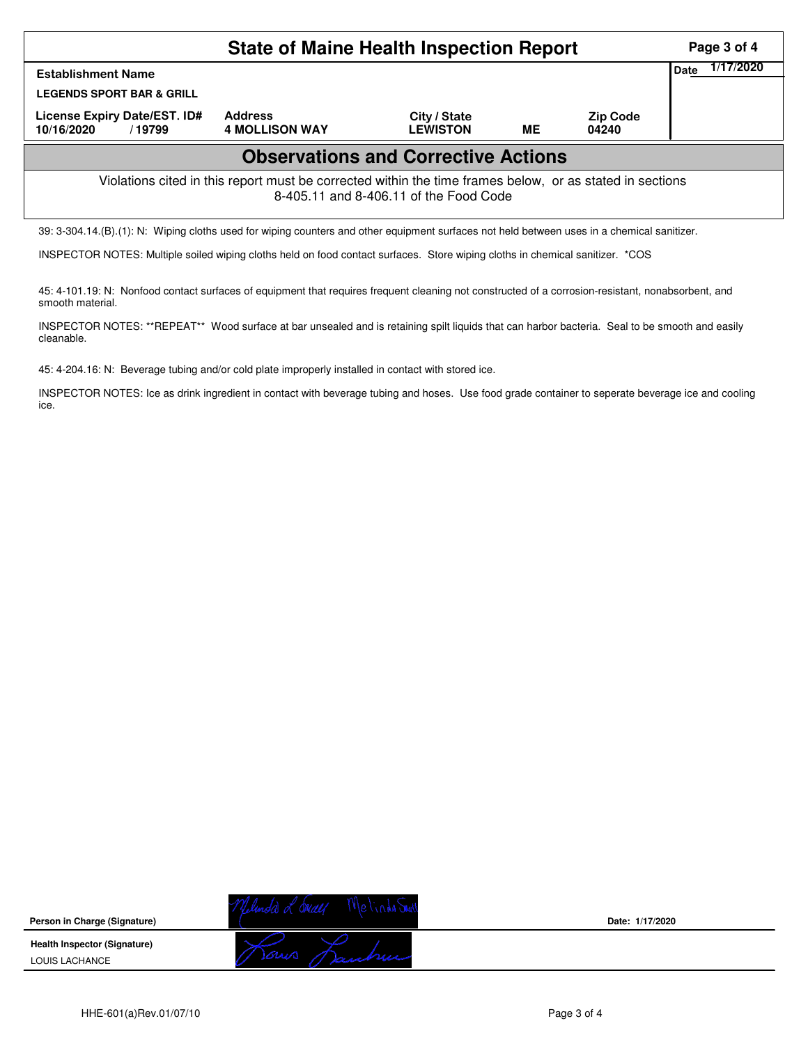|                                                                                                                                                    | Page 3 of 4                             |                                 |           |                          |  |  |  |  |
|----------------------------------------------------------------------------------------------------------------------------------------------------|-----------------------------------------|---------------------------------|-----------|--------------------------|--|--|--|--|
| <b>Establishment Name</b><br><b>LEGENDS SPORT BAR &amp; GRILL</b><br>License Expiry Date/EST. ID#                                                  | 1/17/2020<br>Date                       |                                 |           |                          |  |  |  |  |
| 10/16/2020<br>/19799                                                                                                                               | <b>Address</b><br><b>4 MOLLISON WAY</b> | City / State<br><b>LEWISTON</b> | <b>ME</b> | <b>Zip Code</b><br>04240 |  |  |  |  |
| <b>Observations and Corrective Actions</b>                                                                                                         |                                         |                                 |           |                          |  |  |  |  |
| Violations cited in this report must be corrected within the time frames below, or as stated in sections<br>8-405.11 and 8-406.11 of the Food Code |                                         |                                 |           |                          |  |  |  |  |

39: 3-304.14.(B).(1): N: Wiping cloths used for wiping counters and other equipment surfaces not held between uses in a chemical sanitizer.

INSPECTOR NOTES: Multiple soiled wiping cloths held on food contact surfaces. Store wiping cloths in chemical sanitizer. \*COS

45: 4-101.19: N: Nonfood contact surfaces of equipment that requires frequent cleaning not constructed of a corrosion-resistant, nonabsorbent, and smooth material.

INSPECTOR NOTES: \*\*REPEAT\*\* Wood surface at bar unsealed and is retaining spilt liquids that can harbor bacteria. Seal to be smooth and easily cleanable.

45: 4-204.16: N: Beverage tubing and/or cold plate improperly installed in contact with stored ice.

INSPECTOR NOTES: Ice as drink ingredient in contact with beverage tubing and hoses. Use food grade container to seperate beverage ice and cooling ice.